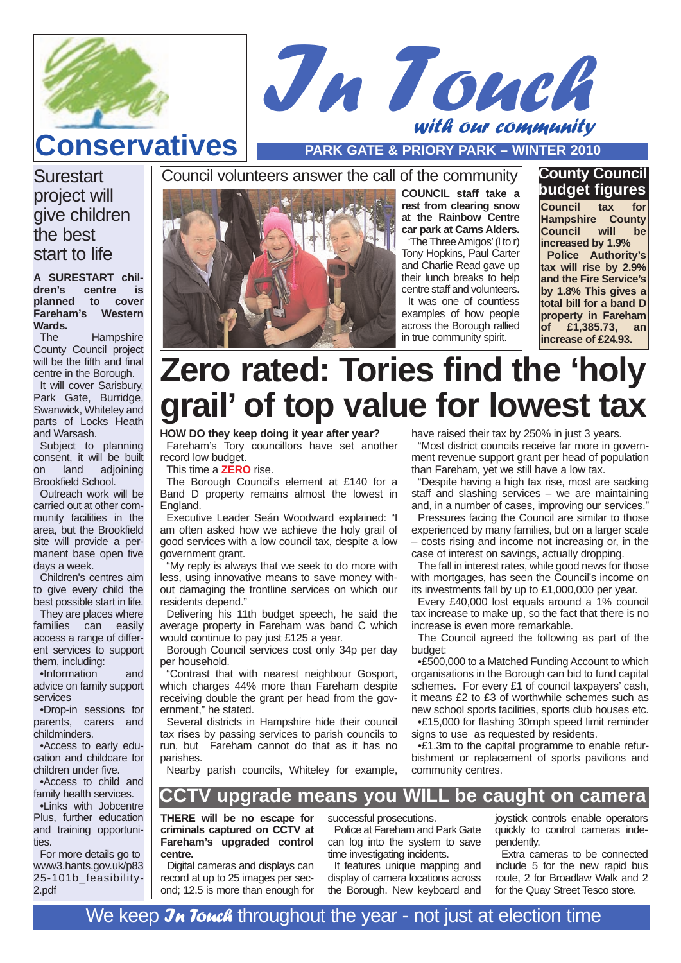

## with our community **Conservatives PARK GATE & PRIORY PARK – WINTER 2010**

I<sup>n</sup> Touch

**Surestart** project will give children the best start to life

#### **A SURESTART children's centre is planned to cover Fareham's Wards.**

The Hampshire County Council project will be the fifth and final centre in the Borough. It will cover Sarisbury, Park Gate, Burridge, Swanwick, Whiteley and parts of Locks Heath and Warsash.

Subject to planning consent, it will be built<br>on land adioining on land adjoining Brookfield School.

Outreach work will be carried out at other community facilities in the area, but the Brookfield site will provide a permanent base open five days a week.

Children's centres aim to give every child the best possible start in life.

They are places where families can easily access a range of different services to support them, including:

•Information and advice on family support services

•Drop-in sessions for parents, carers and childminders.

•Access to early education and childcare for children under five.

•Access to child and family health services.

•Links with Jobcentre Plus, further education and training opportunities.

For more details go to www3.hants.gov.uk/p83 25-101b\_feasibility-2.pdf



**COUNCIL staff take a rest from clearing snow at the Rainbow Centre car park at Cams Alders.**

'The Three Amigos'(l to r) Tony Hopkins, Paul Carter and Charlie Read gave up their lunch breaks to help centre staff and volunteers. It was one of countless examples of how people across the Borough rallied in true community spirit.

#### **County Council budget figures**

**Council tax for Hampshire County Council will be increased by 1.9% Police Authority's tax will rise by 2.9% and the Fire Service's by 1.8% This gives a total bill for a band D property in Fareham of £1,385.73, an increase of £24.93.**

# **Zero rated: Tories find the 'holy grail' of top value for lowest tax**

**HOW DO they keep doing it year after year?** Fareham's Tory councillors have set another record low budget.

This time a **ZERO** rise.

The Borough Council's element at £140 for a Band D property remains almost the lowest in England.

Executive Leader Seán Woodward explained: "I am often asked how we achieve the holy grail of good services with a low council tax, despite a low government grant.

"My reply is always that we seek to do more with less, using innovative means to save money without damaging the frontline services on which our residents depend."

Delivering his 11th budget speech, he said the average property in Fareham was band C which would continue to pay just £125 a year.

Borough Council services cost only 34p per day per household.

"Contrast that with nearest neighbour Gosport, which charges 44% more than Fareham despite receiving double the grant per head from the government," he stated.

Several districts in Hampshire hide their council tax rises by passing services to parish councils to run, but Fareham cannot do that as it has no parishes.

Nearby parish councils, Whiteley for example,

have raised their tax by 250% in just 3 years.

"Most district councils receive far more in government revenue support grant per head of population than Fareham, yet we still have a low tax.

"Despite having a high tax rise, most are sacking staff and slashing services – we are maintaining and, in a number of cases, improving our services."

Pressures facing the Council are similar to those experienced by many families, but on a larger scale – costs rising and income not increasing or, in the case of interest on savings, actually dropping.

The fall in interest rates, while good news for those with mortgages, has seen the Council's income on its investments fall by up to £1,000,000 per year.

Every £40,000 lost equals around a 1% council tax increase to make up, so the fact that there is no increase is even more remarkable.

The Council agreed the following as part of the budget:

•£500,000 to a Matched Funding Account to which organisations in the Borough can bid to fund capital schemes. For every £1 of council taxpayers' cash, it means £2 to £3 of worthwhile schemes such as new school sports facilities, sports club houses etc.

•£15,000 for flashing 30mph speed limit reminder signs to use as requested by residents.

•£1.3m to the capital programme to enable refurbishment or replacement of sports pavilions and community centres.

### **CCTV upgrade means you WILL be caught on camera**

**THERE will be no escape for criminals captured on CCTV at Fareham's upgraded control centre.**

Digital cameras and displays can record at up to 25 images per second; 12.5 is more than enough for successful prosecutions.

Police at Fareham and Park Gate can log into the system to save time investigating incidents.

It features unique mapping and display of camera locations across the Borough. New keyboard and joystick controls enable operators quickly to control cameras independently.

Extra cameras to be connected include 5 for the new rapid bus route, 2 for Broadlaw Walk and 2 for the Quay Street Tesco store.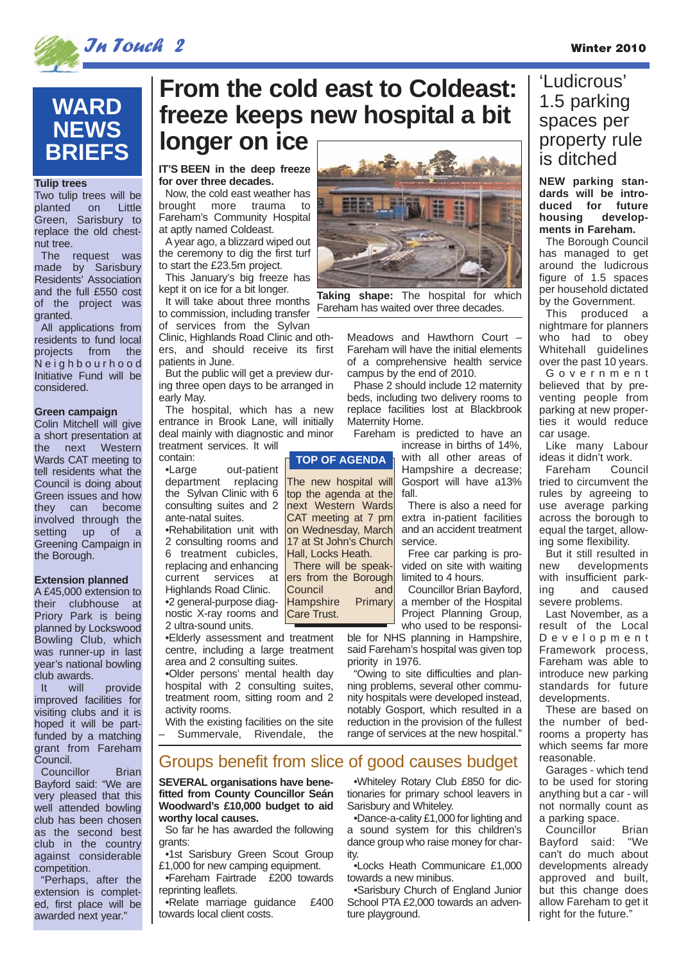

## In Touch 2 Winter 2010

# **WARD NEWS BRIEFS**

#### **Tulip trees**

Two tulip trees will be planted on Little Green, Sarisbury to replace the old chestnut tree.

The request was made by Sarisbury Residents' Association and the full £550 cost of the project was granted.

All applications from residents to fund local projects from the Neighbourhood Initiative Fund will be considered.

#### **Green campaign**

Colin Mitchell will give a short presentation at the next Western Wards CAT meeting to tell residents what the Council is doing about Green issues and how they can become involved through the setting up of a Greening Campaign in the Borough.

#### **Extension planned**

A £45,000 extension to their clubhouse at Priory Park is being planned by Lockswood Bowling Club, which was runner-up in last year's national bowling club awards.<br>It will

It will provide improved facilities for visiting clubs and it is hoped it will be partfunded by a matching grant from Fareham Council.

Councillor Brian Bayford said: "We are very pleased that this well attended bowling club has been chosen as the second best club in the country against considerable competition.

"Perhaps, after the extension is completed, first place will be awarded next year."

# **From the cold east to Coldeast: freeze keeps new hospital a bit longer on ice**

The new hospital will top the agenda at the next Western Wards CAT meeting at 7 pm on Wednesday, March 17 at St John's Church Hall, Locks Heath. There will be speakers from the Borough Council and<br>Hampshire Primary

Hampshire Care Trust.

#### **IT'S BEEN in the deep freeze for over three decades.**

Now, the cold east weather has brought more trauma to Fareham's Community Hospital at aptly named Coldeast.

A year ago, a blizzard wiped out the ceremony to dig the first turf to start the £23.5m project.

This January's big freeze has kept it on ice for a bit longer.

It will take about three months to commission, including transfer

of services from the Sylvan Clinic, Highlands Road Clinic and oth-

ers, and should receive its first patients in June.

But the public will get a preview during three open days to be arranged in early May.

The hospital, which has a new entrance in Brook Lane, will initially deal mainly with diagnostic and minor treatment services. It will **TOP OF AGENDA**

contain:<br>Large out-patient department replacing

the Sylvan Clinic with 6 consulting suites and 2 ante-natal suites. •Rehabilitation unit with

2 consulting rooms and 6 treatment cubicles, replacing and enhancing current services at Highlands Road Clinic.

•2 general-purpose diagnostic X-ray rooms and 2 ultra-sound units.

•Elderly assessment and treatment centre, including a large treatment area and 2 consulting suites.

•Older persons' mental health day hospital with 2 consulting suites, treatment room, sitting room and 2 activity rooms.

With the existing facilities on the site Summervale, Rivendale, the

**SEVERAL organisations have benefitted from County Councillor Seán Woodward's £10,000 budget to aid** Groups benefit from slice of good causes budget

**worthy local causes.** So far he has awarded the following grants:

•1st Sarisbury Green Scout Group £1,000 for new camping equipment.

•Fareham Fairtrade £200 towards reprinting leaflets.

•Relate marriage guidance £400 towards local client costs.



**Taking shape:** The hospital for which Fareham has waited over three decades.

> Meadows and Hawthorn Court Fareham will have the initial elements of a comprehensive health service campus by the end of 2010.

> Phase 2 should include 12 maternity beds, including two delivery rooms to replace facilities lost at Blackbrook Maternity Home.

Fareham is predicted to have an increase in births of 14%,

with all other areas of Hampshire a decrease; Gosport will have a13% fall.

There is also a need for extra in-patient facilities and an accident treatment service.

Free car parking is provided on site with waiting limited to 4 hours.

Councillor Brian Bayford, a member of the Hospital Project Planning Group, who used to be responsi-

ble for NHS planning in Hampshire, said Fareham's hospital was given top priority in 1976.

"Owing to site difficulties and planning problems, several other community hospitals were developed instead, notably Gosport, which resulted in a reduction in the provision of the fullest range of services at the new hospital."

•Whiteley Rotary Club £850 for dictionaries for primary school leavers in Sarisbury and Whiteley.

•Dance-a-cality £1,000 for lighting and a sound system for this children's dance group who raise money for charity.

•Locks Heath Communicare £1,000 towards a new minibus.

•Sarisbury Church of England Junior School PTA £2,000 towards an adventure playground.

## 'Ludicrous' 1.5 parking spaces per property rule is ditched

**NEW parking standards will be introduced for future housing developments in Fareham.** 

The Borough Council has managed to get around the ludicrous figure of 1.5 spaces per household dictated by the Government.

This produced a nightmare for planners who had to obey Whitehall guidelines over the past 10 years.

Government believed that by preventing people from parking at new properties it would reduce car usage.

Like many Labour ideas it didn't work.

Fareham tried to circumvent the rules by agreeing to use average parking across the borough to equal the target, allowing some flexibility.

But it still resulted in new developments with insufficient parking and caused severe problems.

Last November, as a result of the Local Development Framework process, Fareham was able to introduce new parking standards for future developments.

These are based on the number of bedrooms a property has which seems far more reasonable.

Garages - which tend to be used for storing anything but a car - will not normally count as a parking space.

Councillor Brian Bayford said: "We can't do much about developments already approved and built, but this change does allow Fareham to get it right for the future."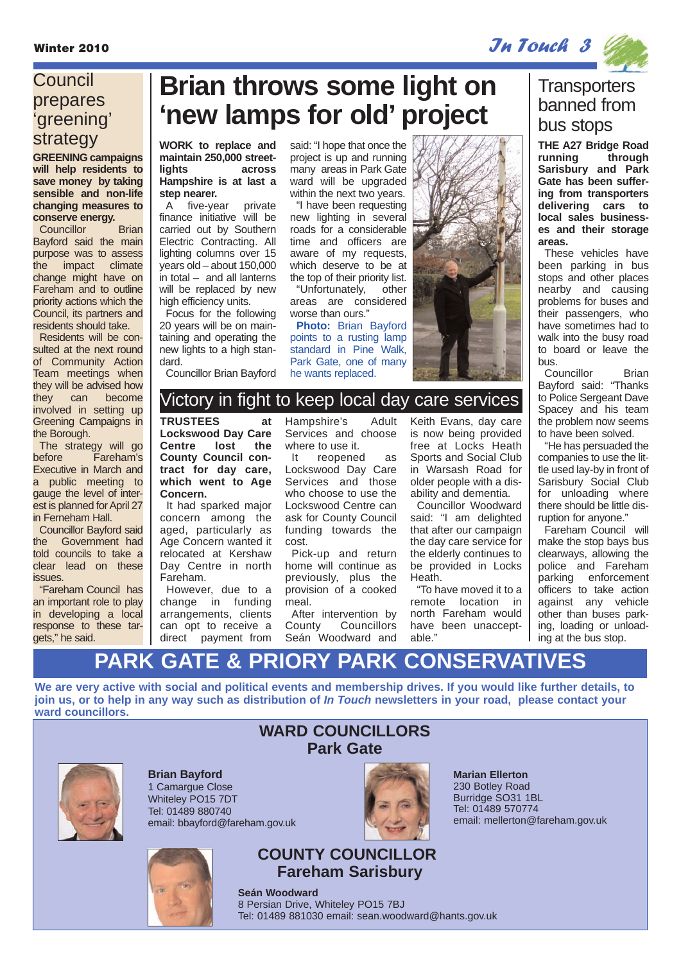Winter 2010 **In Touch 3** and  $\mathcal{I}$ **N** Touch 3

## **Council** prepares 'greening' strategy

**GREENING campaigns will help residents to save money by taking sensible and non-life changing measures to conserve energy.**

Councillor Brian Bayford said the main purpose was to assess the impact climate change might have on Fareham and to outline priority actions which the Council, its partners and residents should take.

Residents will be consulted at the next round of Community Action Team meetings when they will be advised how they can become involved in setting up Greening Campaigns in the Borough.

The strategy will go before Fareham's Executive in March and a public meeting to gauge the level of interest is planned for April 27 in Ferneham Hall.

Councillor Bayford said the Government had told councils to take a clear lead on these issues.

"Fareham Council has an important role to play in developing a local response to these targets," he said.

# **Brian throws some light on 'new lamps for old' project**

**WORK to replace and maintain 250,000 streetlights across Hampshire is at last a step nearer.** 

A five-year private finance initiative will be carried out by Southern Electric Contracting. All lighting columns over 15 years old – about 150,000 in total – and all lanterns will be replaced by new high efficiency units.

Focus for the following 20 years will be on maintaining and operating the new lights to a high standard.

Councillor Brian Bayford

said: "I hope that once the project is up and running many areas in Park Gate ward will be upgraded within the next two years.

"I have been requesting new lighting in several roads for a considerable time and officers are aware of my requests, which deserve to be at the top of their priority list.

"Unfortunately, other areas are considered worse than ours."

**Photo:** Brian Bayford points to a rusting lamp standard in Pine Walk, Park Gate, one of many he wants replaced.



## Victory in fight to keep local day care services

#### **TRUSTEES at**

**Lockswood Day Care Centre County Council contract for day care, which went to Age Concern.**

It had sparked major concern among the aged, particularly as Age Concern wanted it relocated at Kershaw Day Centre in north Fareham.

However, due to a change in funding arrangements, clients can opt to receive a direct payment from Hampshire's Adult Services and choose where to use it.

It reopened as Lockswood Day Care Services and those who choose to use the Lockswood Centre can ask for County Council funding towards the cost.

Pick-up and return home will continue as previously, plus the provision of a cooked meal.

After intervention by County Councillors Seán Woodward and Keith Evans, day care is now being provided free at Locks Heath Sports and Social Club in Warsash Road for older people with a disability and dementia.

Councillor Woodward said: "I am delighted that after our campaign the day care service for the elderly continues to be provided in Locks Heath.

"To have moved it to a remote location in north Fareham would have been unacceptable."

## **Transporters** banned from bus stops

**THE A27 Bridge Road** running **Sarisbury and Park Gate has been suffering from transporters delivering cars to local sales businesses and their storage areas.** 

These vehicles have been parking in bus stops and other places nearby and causing problems for buses and their passengers, who have sometimes had to walk into the busy road to board or leave the bus.

Councillor Brian Bayford said: "Thanks to Police Sergeant Dave Spacey and his team the problem now seems to have been solved.

"He has persuaded the companies to use the little used lay-by in front of Sarisbury Social Club for unloading where there should be little disruption for anyone."

Fareham Council will make the stop bays bus clearways, allowing the police and Fareham parking enforcement officers to take action against any vehicle other than buses parking, loading or unloading at the bus stop.

# **PARK GATE & PRIORY PARK CONSERVATIVES**

**We are very active with social and political events and membership drives. If you would like further details, to join us, or to help in any way such as distribution of In Touch newsletters in your road, please contact your ward councillors.**



**Brian Bayford** 1 Camargue Close Whiteley PO15 7DT Tel: 01489 880740 email: bbayford@fareham.gov.uk



### **WARD COUNCILLORS Park Gate**

**Marian Ellerton** 230 Botley Road Burridge SO31 1BL Tel: 01489 570774 email: mellerton@fareham.gov.uk

**COUNTY COUNCILLOR Fareham Sarisbury**

**Seán Woodward** 8 Persian Drive, Whiteley PO15 7BJ Tel: 01489 881030 email: sean.woodward@hants.gov.uk